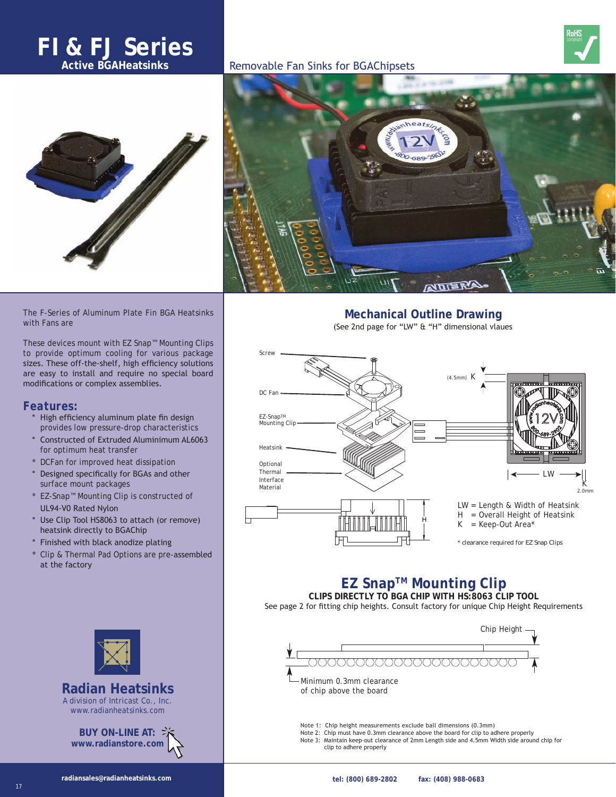# **FI & FJ Series**







The F-Series of Aluminum Plate Fin BGA Heatsinks with Fans are

These devices mount with EZ Snap™ Mounting Clips to provide optimum cooling for various package sizes. These off-the-shelf, high efficiency solutions are easy to install and require no special board modifications or complex assemblies.

# *Features:*

- High efficiency aluminum plate fin design provides low pressure-drop characteristics
- Constructed of Extruded Aluminimum AL6063 for optimum heat transfer
- DCFan for improved heat dissipation
- Designed specifically for BGAs and other surface mount packages
- \* EZ-Snap™ Mounting Clip is constructed of UL94-V0 Rated Nylon
- Use Clip Tool HS8063 to attach (or remove) heatsink directly to BGAChip
- Finished with black anodize plating
- Clip & Thermal Pad Options are pre-assembled at the factory



**Active BGAHeatsinks** Removable Fan Sinks for BGAChipsets

**Mechanical Outline Drawing** (See 2nd page for "LW" & "H" dimensional vlaues



# **EZ SnapTM Mounting Clip**

**CLIPS DIRECTLY TO BGA CHIP WITH HS:8063 CLIP TOOL** See page 2 for fitting chip heights. Consult factory for unique Chip Height Requirements